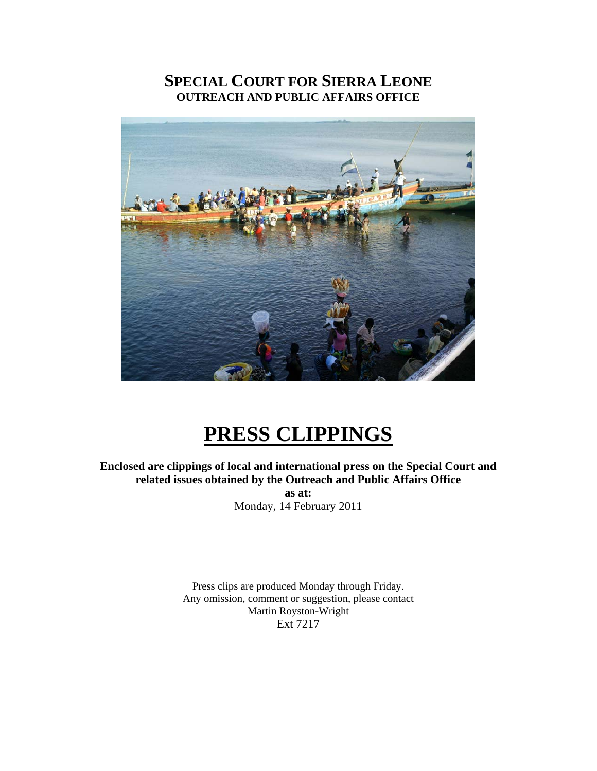# **SPECIAL COURT FOR SIERRA LEONE OUTREACH AND PUBLIC AFFAIRS OFFICE**



# **PRESS CLIPPINGS**

**Enclosed are clippings of local and international press on the Special Court and related issues obtained by the Outreach and Public Affairs Office as at:**  Monday, 14 February 2011

> Press clips are produced Monday through Friday. Any omission, comment or suggestion, please contact Martin Royston-Wright Ext 7217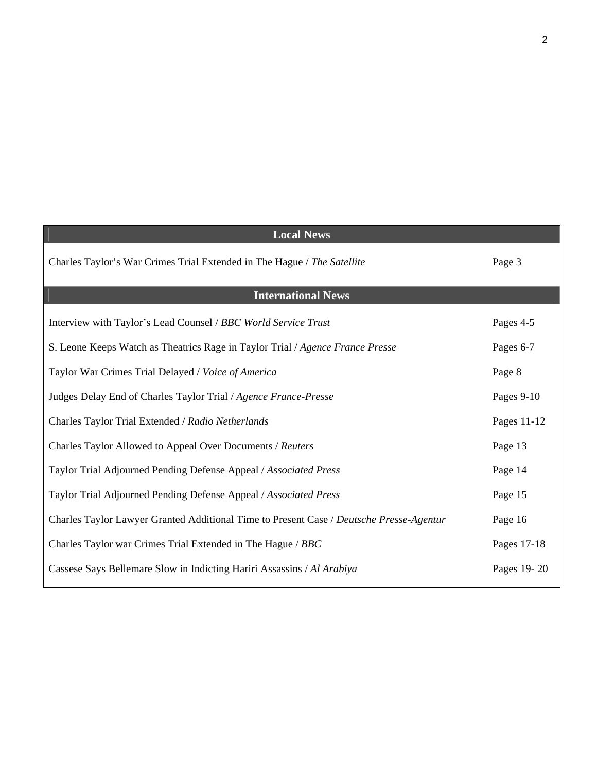| <b>Local News</b>                                                                       |             |
|-----------------------------------------------------------------------------------------|-------------|
| Charles Taylor's War Crimes Trial Extended in The Hague / The Satellite                 | Page 3      |
| <b>International News</b>                                                               |             |
| Interview with Taylor's Lead Counsel / BBC World Service Trust                          | Pages 4-5   |
| S. Leone Keeps Watch as Theatrics Rage in Taylor Trial / Agence France Presse           | Pages 6-7   |
| Taylor War Crimes Trial Delayed / Voice of America                                      | Page 8      |
| Judges Delay End of Charles Taylor Trial / Agence France-Presse                         | Pages 9-10  |
| Charles Taylor Trial Extended / Radio Netherlands                                       | Pages 11-12 |
| Charles Taylor Allowed to Appeal Over Documents / Reuters                               | Page 13     |
| Taylor Trial Adjourned Pending Defense Appeal / Associated Press                        | Page 14     |
| Taylor Trial Adjourned Pending Defense Appeal / Associated Press                        | Page 15     |
| Charles Taylor Lawyer Granted Additional Time to Present Case / Deutsche Presse-Agentur | Page 16     |
| Charles Taylor war Crimes Trial Extended in The Hague / BBC                             | Pages 17-18 |
| Cassese Says Bellemare Slow in Indicting Hariri Assassins / Al Arabiya                  | Pages 19-20 |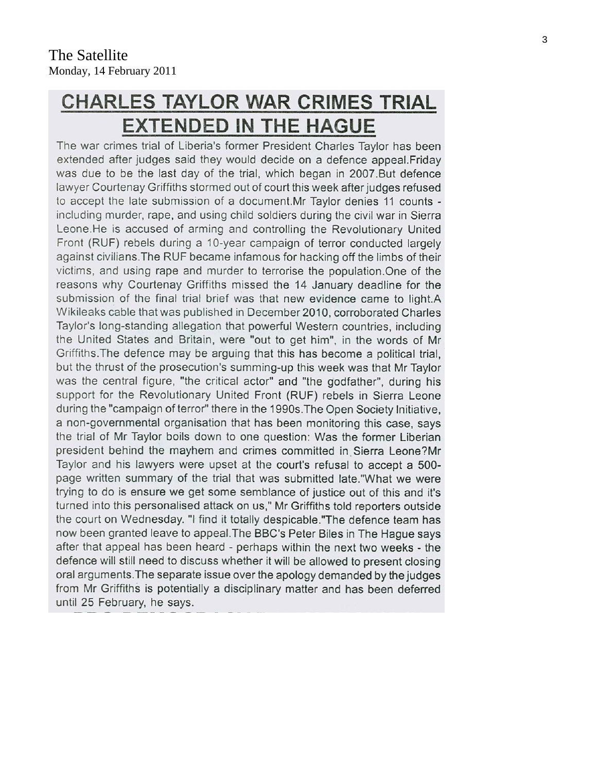# **CHARLES TAYLOR WAR CRIMES TRIAL EXTENDED IN THE HAGUE**

The war crimes trial of Liberia's former President Charles Taylor has been extended after judges said they would decide on a defence appeal. Friday was due to be the last day of the trial, which began in 2007.But defence lawyer Courtenay Griffiths stormed out of court this week after judges refused to accept the late submission of a document. Mr Taylor denies 11 counts including murder, rape, and using child soldiers during the civil war in Sierra Leone.He is accused of arming and controlling the Revolutionary United Front (RUF) rebels during a 10-year campaign of terror conducted largely against civilians. The RUF became infamous for hacking off the limbs of their victims, and using rape and murder to terrorise the population. One of the reasons why Courtenay Griffiths missed the 14 January deadline for the submission of the final trial brief was that new evidence came to light.A Wikileaks cable that was published in December 2010, corroborated Charles Taylor's long-standing allegation that powerful Western countries, including the United States and Britain, were "out to get him", in the words of Mr Griffiths. The defence may be arguing that this has become a political trial, but the thrust of the prosecution's summing-up this week was that Mr Taylor was the central figure, "the critical actor" and "the godfather", during his support for the Revolutionary United Front (RUF) rebels in Sierra Leone during the "campaign of terror" there in the 1990s. The Open Society Initiative, a non-governmental organisation that has been monitoring this case, says the trial of Mr Taylor boils down to one question: Was the former Liberian president behind the mayhem and crimes committed in Sierra Leone?Mr Taylor and his lawyers were upset at the court's refusal to accept a 500page written summary of the trial that was submitted late."What we were trying to do is ensure we get some semblance of justice out of this and it's turned into this personalised attack on us," Mr Griffiths told reporters outside the court on Wednesday. "I find it totally despicable."The defence team has now been granted leave to appeal. The BBC's Peter Biles in The Hague says after that appeal has been heard - perhaps within the next two weeks - the defence will still need to discuss whether it will be allowed to present closing oral arguments. The separate issue over the apology demanded by the judges from Mr Griffiths is potentially a disciplinary matter and has been deferred until 25 February, he says.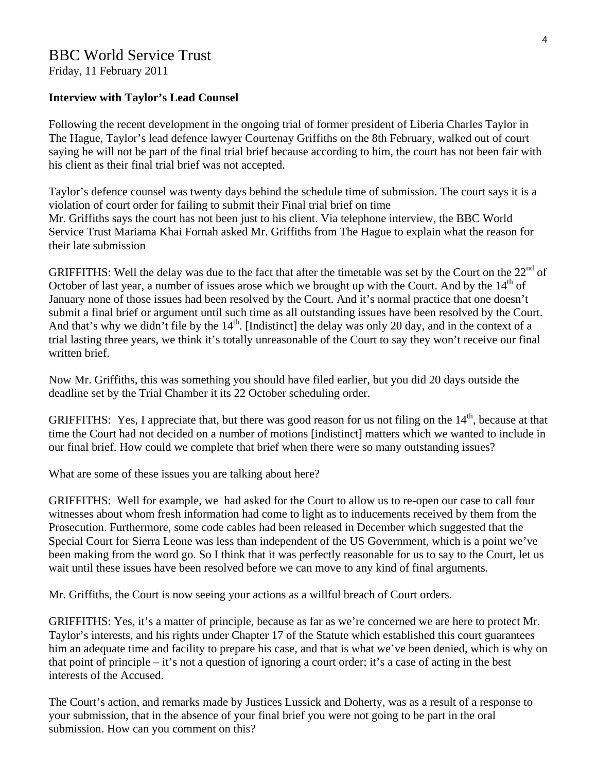Friday, 11 February 2011

#### **Interview with Taylor's Lead Counsel**

Following the recent development in the ongoing trial of former president of Liberia Charles Taylor in The Hague, Taylor's lead defence lawyer Courtenay Griffiths on the 8th February, walked out of court saying he will not be part of the final trial brief because according to him, the court has not been fair with his client as their final trial brief was not accepted.

Taylor's defence counsel was twenty days behind the schedule time of submission. The court says it is a violation of court order for failing to submit their Final trial brief on time Mr. Griffiths says the court has not been just to his client. Via telephone interview, the BBC World Service Trust Mariama Khai Fornah asked Mr. Griffiths from The Hague to explain what the reason for their late submission

GRIFFITHS: Well the delay was due to the fact that after the timetable was set by the Court on the  $22<sup>nd</sup>$  of October of last year, a number of issues arose which we brought up with the Court. And by the 14<sup>th</sup> of January none of those issues had been resolved by the Court. And it's normal practice that one doesn't submit a final brief or argument until such time as all outstanding issues have been resolved by the Court. And that's why we didn't file by the  $14<sup>th</sup>$ . [Indistinct] the delay was only 20 day, and in the context of a trial lasting three years, we think it's totally unreasonable of the Court to say they won't receive our final written brief.

Now Mr. Griffiths, this was something you should have filed earlier, but you did 20 days outside the deadline set by the Trial Chamber it its 22 October scheduling order.

GRIFFITHS: Yes, I appreciate that, but there was good reason for us not filing on the 14<sup>th</sup>, because at that time the Court had not decided on a number of motions [indistinct] matters which we wanted to include in our final brief. How could we complete that brief when there were so many outstanding issues?

What are some of these issues you are talking about here?

GRIFFITHS: Well for example, we had asked for the Court to allow us to re-open our case to call four witnesses about whom fresh information had come to light as to inducements received by them from the Prosecution. Furthermore, some code cables had been released in December which suggested that the Special Court for Sierra Leone was less than independent of the US Government, which is a point we've been making from the word go. So I think that it was perfectly reasonable for us to say to the Court, let us wait until these issues have been resolved before we can move to any kind of final arguments.

Mr. Griffiths, the Court is now seeing your actions as a willful breach of Court orders.

GRIFFITHS: Yes, it's a matter of principle, because as far as we're concerned we are here to protect Mr. Taylor's interests, and his rights under Chapter 17 of the Statute which established this court guarantees him an adequate time and facility to prepare his case, and that is what we've been denied, which is why on that point of principle – it's not a question of ignoring a court order; it's a case of acting in the best interests of the Accused.

The Court's action, and remarks made by Justices Lussick and Doherty, was as a result of a response to your submission, that in the absence of your final brief you were not going to be part in the oral submission. How can you comment on this?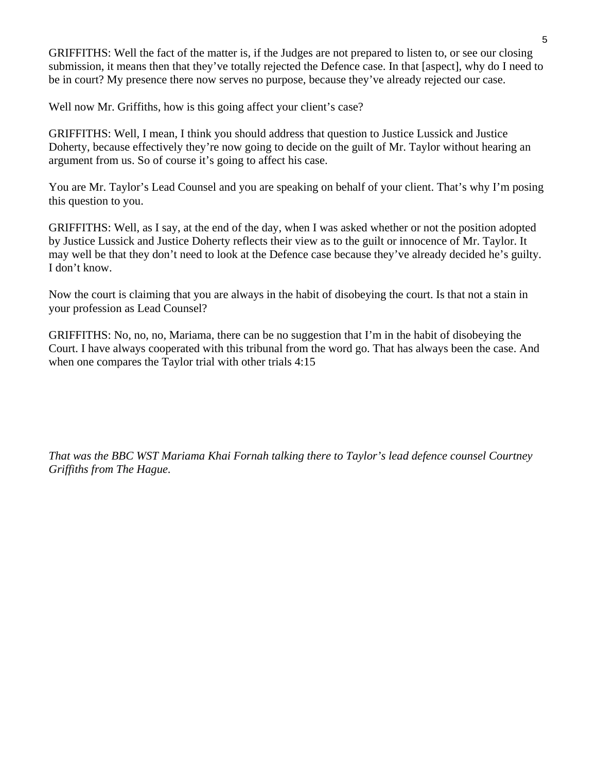GRIFFITHS: Well the fact of the matter is, if the Judges are not prepared to listen to, or see our closing submission, it means then that they've totally rejected the Defence case. In that [aspect], why do I need to be in court? My presence there now serves no purpose, because they've already rejected our case.

Well now Mr. Griffiths, how is this going affect your client's case?

GRIFFITHS: Well, I mean, I think you should address that question to Justice Lussick and Justice Doherty, because effectively they're now going to decide on the guilt of Mr. Taylor without hearing an argument from us. So of course it's going to affect his case.

You are Mr. Taylor's Lead Counsel and you are speaking on behalf of your client. That's why I'm posing this question to you.

GRIFFITHS: Well, as I say, at the end of the day, when I was asked whether or not the position adopted by Justice Lussick and Justice Doherty reflects their view as to the guilt or innocence of Mr. Taylor. It may well be that they don't need to look at the Defence case because they've already decided he's guilty. I don't know.

Now the court is claiming that you are always in the habit of disobeying the court. Is that not a stain in your profession as Lead Counsel?

GRIFFITHS: No, no, no, Mariama, there can be no suggestion that I'm in the habit of disobeying the Court. I have always cooperated with this tribunal from the word go. That has always been the case. And when one compares the Taylor trial with other trials 4:15

*That was the BBC WST Mariama Khai Fornah talking there to Taylor's lead defence counsel Courtney Griffiths from The Hague.*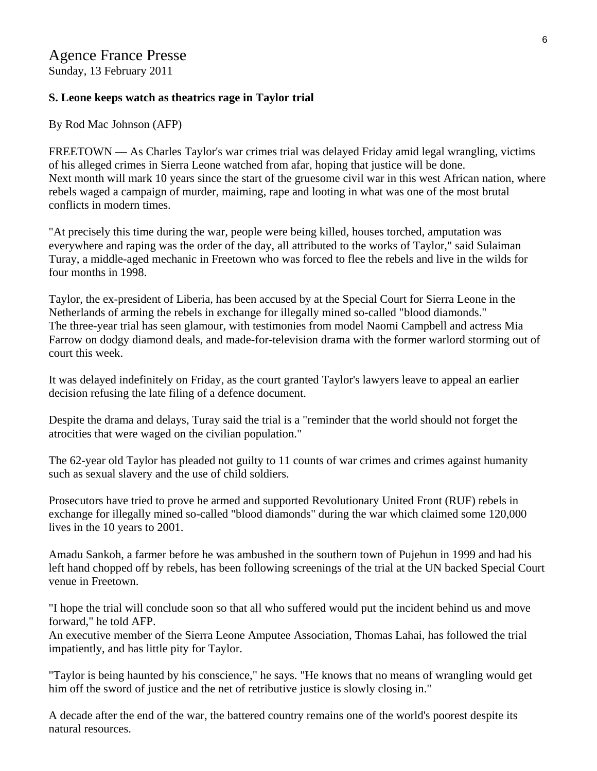# Agence France Presse

Sunday, 13 February 2011

#### **S. Leone keeps watch as theatrics rage in Taylor trial**

By Rod Mac Johnson (AFP)

FREETOWN — As Charles Taylor's war crimes trial was delayed Friday amid legal wrangling, victims of his alleged crimes in Sierra Leone watched from afar, hoping that justice will be done. Next month will mark 10 years since the start of the gruesome civil war in this west African nation, where rebels waged a campaign of murder, maiming, rape and looting in what was one of the most brutal conflicts in modern times.

"At precisely this time during the war, people were being killed, houses torched, amputation was everywhere and raping was the order of the day, all attributed to the works of Taylor," said Sulaiman Turay, a middle-aged mechanic in Freetown who was forced to flee the rebels and live in the wilds for four months in 1998.

Taylor, the ex-president of Liberia, has been accused by at the Special Court for Sierra Leone in the Netherlands of arming the rebels in exchange for illegally mined so-called "blood diamonds." The three-year trial has seen glamour, with testimonies from model Naomi Campbell and actress Mia Farrow on dodgy diamond deals, and made-for-television drama with the former warlord storming out of court this week.

It was delayed indefinitely on Friday, as the court granted Taylor's lawyers leave to appeal an earlier decision refusing the late filing of a defence document.

Despite the drama and delays, Turay said the trial is a "reminder that the world should not forget the atrocities that were waged on the civilian population."

The 62-year old Taylor has pleaded not guilty to 11 counts of war crimes and crimes against humanity such as sexual slavery and the use of child soldiers.

Prosecutors have tried to prove he armed and supported Revolutionary United Front (RUF) rebels in exchange for illegally mined so-called "blood diamonds" during the war which claimed some 120,000 lives in the 10 years to 2001.

Amadu Sankoh, a farmer before he was ambushed in the southern town of Pujehun in 1999 and had his left hand chopped off by rebels, has been following screenings of the trial at the UN backed Special Court venue in Freetown.

"I hope the trial will conclude soon so that all who suffered would put the incident behind us and move forward," he told AFP.

An executive member of the Sierra Leone Amputee Association, Thomas Lahai, has followed the trial impatiently, and has little pity for Taylor.

"Taylor is being haunted by his conscience," he says. "He knows that no means of wrangling would get him off the sword of justice and the net of retributive justice is slowly closing in."

A decade after the end of the war, the battered country remains one of the world's poorest despite its natural resources.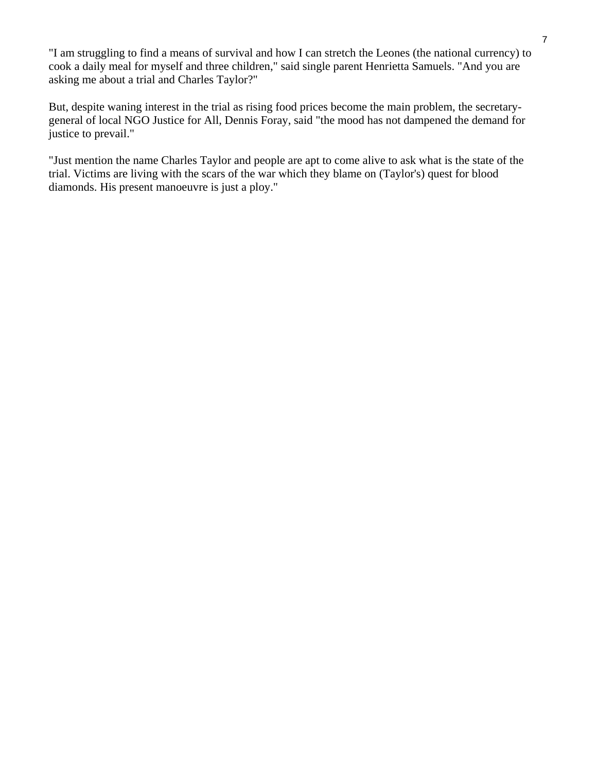"I am struggling to find a means of survival and how I can stretch the Leones (the national currency) to cook a daily meal for myself and three children," said single parent Henrietta Samuels. "And you are asking me about a trial and Charles Taylor?"

But, despite waning interest in the trial as rising food prices become the main problem, the secretarygeneral of local NGO Justice for All, Dennis Foray, said "the mood has not dampened the demand for justice to prevail."

"Just mention the name Charles Taylor and people are apt to come alive to ask what is the state of the trial. Victims are living with the scars of the war which they blame on (Taylor's) quest for blood diamonds. His present manoeuvre is just a ploy."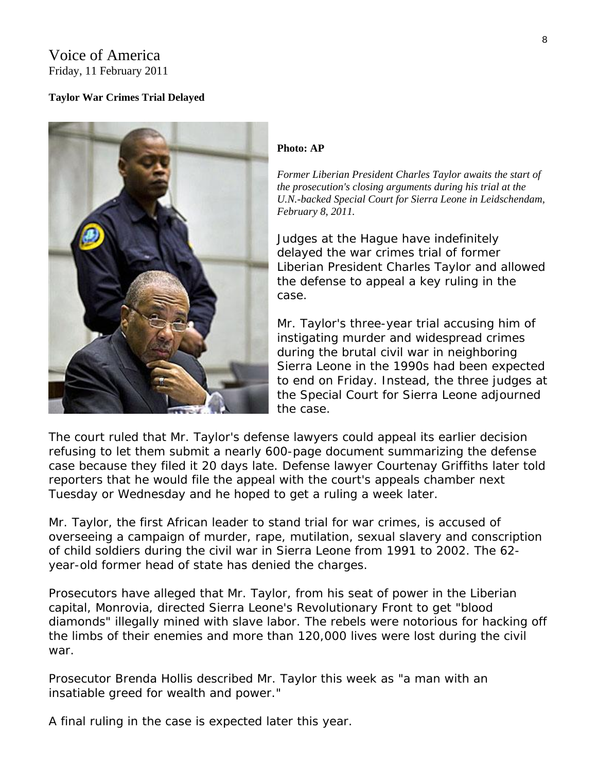## Voice of America Friday, 11 February 2011

#### **Taylor War Crimes Trial Delayed**



#### **Photo: AP**

*Former Liberian President Charles Taylor awaits the start of the prosecution's closing arguments during his trial at the U.N.-backed Special Court for Sierra Leone in Leidschendam, February 8, 2011.* 

Judges at the Hague have indefinitely delayed the war crimes trial of former Liberian President Charles Taylor and allowed the defense to appeal a key ruling in the case.

Mr. Taylor's three-year trial accusing him of instigating murder and widespread crimes during the brutal civil war in neighboring Sierra Leone in the 1990s had been expected to end on Friday. Instead, the three judges a t the Special Court for Sierra Leone adj ourned the case.

The court ruled that Mr. Taylor's defense lawyers could appeal its earlier decision refusing to let them submit a nearly 600-page document summarizing the defense case because they filed it 20 days late. Defense lawyer Courtenay Griffiths later told reporters that he would file the appeal with the court's appeals chamber next Tuesday or Wednesday and he hoped to get a ruling a week later.

Mr. Taylor, the first African leader to stand trial for war crimes, is accused of overseeing a campaign of murder, rape, mutilation, sexual slavery and conscription of child soldiers during the civil war in Sierra Leone from 1991 to 2002. The 62 year-old former head of state has denied the charges.

Prosecutors have alleged that Mr. Taylor, from his seat of power in the Liberian capital, Monrovia, directed Sierra Leone's Revolutionary Front to get "blood diamonds" illegally mined with slave labor. The rebels were notorious for hacking off the limbs of their enemies and more than 120,000 lives were lost during the civil war.

Prosecutor Brenda Hollis described Mr. Taylor this week as "a man with an insatiable greed for wealth and power."

A final ruling in the case is expected later this year.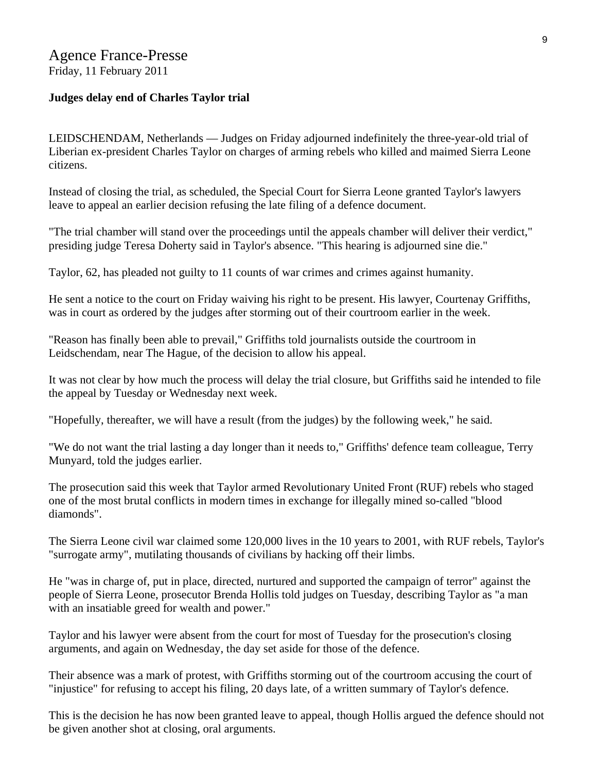## Agence France-Presse Friday, 11 February 2011

#### **Judges delay end of Charles Taylor trial**

LEIDSCHENDAM, Netherlands — Judges on Friday adjourned indefinitely the three-year-old trial of Liberian ex-president Charles Taylor on charges of arming rebels who killed and maimed Sierra Leone citizens.

Instead of closing the trial, as scheduled, the Special Court for Sierra Leone granted Taylor's lawyers leave to appeal an earlier decision refusing the late filing of a defence document.

"The trial chamber will stand over the proceedings until the appeals chamber will deliver their verdict," presiding judge Teresa Doherty said in Taylor's absence. "This hearing is adjourned sine die."

Taylor, 62, has pleaded not guilty to 11 counts of war crimes and crimes against humanity.

He sent a notice to the court on Friday waiving his right to be present. His lawyer, Courtenay Griffiths, was in court as ordered by the judges after storming out of their courtroom earlier in the week.

"Reason has finally been able to prevail," Griffiths told journalists outside the courtroom in Leidschendam, near The Hague, of the decision to allow his appeal.

It was not clear by how much the process will delay the trial closure, but Griffiths said he intended to file the appeal by Tuesday or Wednesday next week.

"Hopefully, thereafter, we will have a result (from the judges) by the following week," he said.

"We do not want the trial lasting a day longer than it needs to," Griffiths' defence team colleague, Terry Munyard, told the judges earlier.

The prosecution said this week that Taylor armed Revolutionary United Front (RUF) rebels who staged one of the most brutal conflicts in modern times in exchange for illegally mined so-called "blood diamonds".

The Sierra Leone civil war claimed some 120,000 lives in the 10 years to 2001, with RUF rebels, Taylor's "surrogate army", mutilating thousands of civilians by hacking off their limbs.

He "was in charge of, put in place, directed, nurtured and supported the campaign of terror" against the people of Sierra Leone, prosecutor Brenda Hollis told judges on Tuesday, describing Taylor as "a man with an insatiable greed for wealth and power."

Taylor and his lawyer were absent from the court for most of Tuesday for the prosecution's closing arguments, and again on Wednesday, the day set aside for those of the defence.

Their absence was a mark of protest, with Griffiths storming out of the courtroom accusing the court of "injustice" for refusing to accept his filing, 20 days late, of a written summary of Taylor's defence.

This is the decision he has now been granted leave to appeal, though Hollis argued the defence should not be given another shot at closing, oral arguments.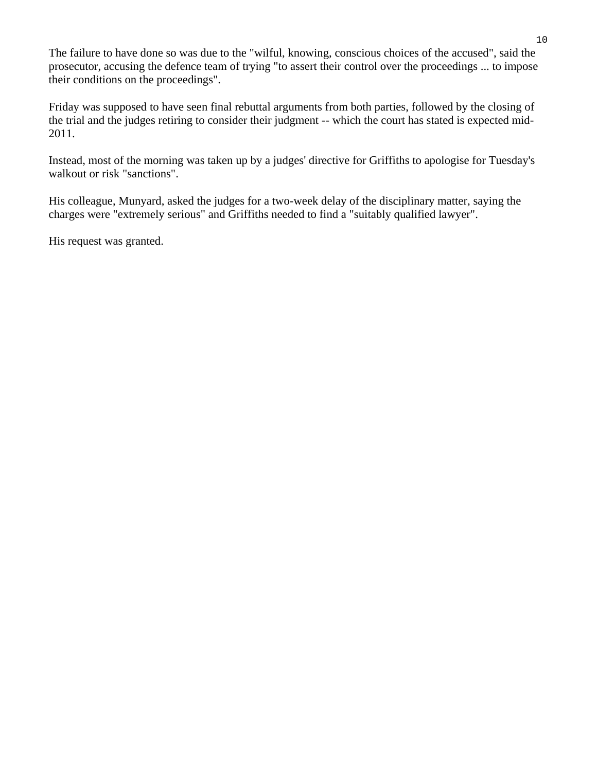The failure to have done so was due to the "wilful, knowing, conscious choices of the accused", said the prosecutor, accusing the defence team of trying "to assert their control over the proceedings ... to impose their conditions on the proceedings".

Friday was supposed to have seen final rebuttal arguments from both parties, followed by the closing of the trial and the judges retiring to consider their judgment -- which the court has stated is expected mid-2011.

Instead, most of the morning was taken up by a judges' directive for Griffiths to apologise for Tuesday's walkout or risk "sanctions".

His colleague, Munyard, asked the judges for a two-week delay of the disciplinary matter, saying the charges were "extremely serious" and Griffiths needed to find a "suitably qualified lawyer".

His request was granted.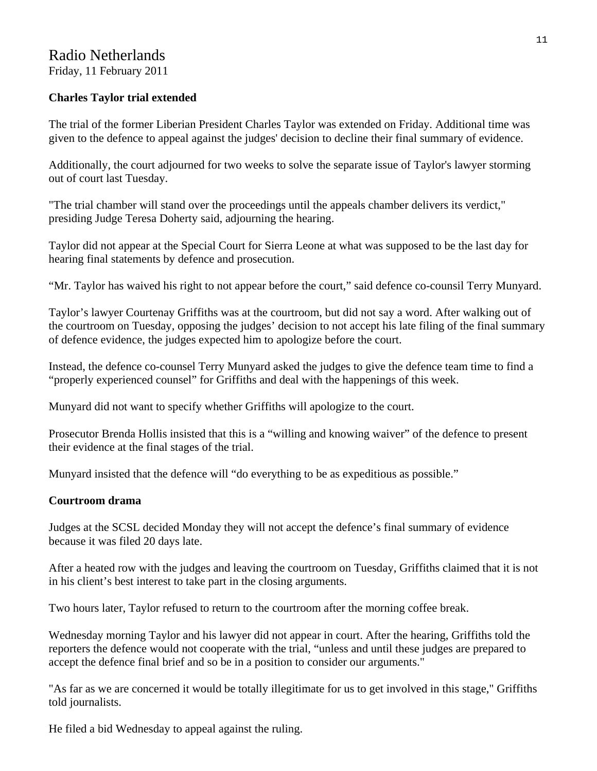## Radio Netherlands Friday, 11 February 2011

## **Charles Taylor trial extended**

The trial of the former Liberian President Charles Taylor was extended on Friday. Additional time was given to the defence to appeal against the judges' decision to decline their final summary of evidence.

Additionally, the court adjourned for two weeks to solve the separate issue of Taylor's lawyer storming out of court last Tuesday.

"The trial chamber will stand over the proceedings until the appeals chamber delivers its verdict," presiding Judge Teresa Doherty said, adjourning the hearing.

Taylor did not appear at the Special Court for Sierra Leone at what was supposed to be the last day for hearing final statements by defence and prosecution.

"Mr. Taylor has waived his right to not appear before the court," said defence co-counsil Terry Munyard.

Taylor's lawyer Courtenay Griffiths was at the courtroom, but did not say a word. After walking out of the courtroom on Tuesday, opposing the judges' decision to not accept his late filing of the final summary of defence evidence, the judges expected him to apologize before the court.

Instead, the defence co-counsel Terry Munyard asked the judges to give the defence team time to find a "properly experienced counsel" for Griffiths and deal with the happenings of this week.

Munyard did not want to specify whether Griffiths will apologize to the court.

Prosecutor Brenda Hollis insisted that this is a "willing and knowing waiver" of the defence to present their evidence at the final stages of the trial.

Munyard insisted that the defence will "do everything to be as expeditious as possible."

#### **Courtroom drama**

Judges at the SCSL decided Monday they will not accept the defence's final summary of evidence because it was filed 20 days late.

After a heated row with the judges and leaving the courtroom on Tuesday, Griffiths claimed that it is not in his client's best interest to take part in the closing arguments.

Two hours later, Taylor refused to return to the courtroom after the morning coffee break.

Wednesday morning Taylor and his lawyer did not appear in court. After the hearing, Griffiths told the reporters the defence would not cooperate with the trial, "unless and until these judges are prepared to accept the defence final brief and so be in a position to consider our arguments."

"As far as we are concerned it would be totally illegitimate for us to get involved in this stage," Griffiths told journalists.

He filed a bid Wednesday to appeal against the ruling.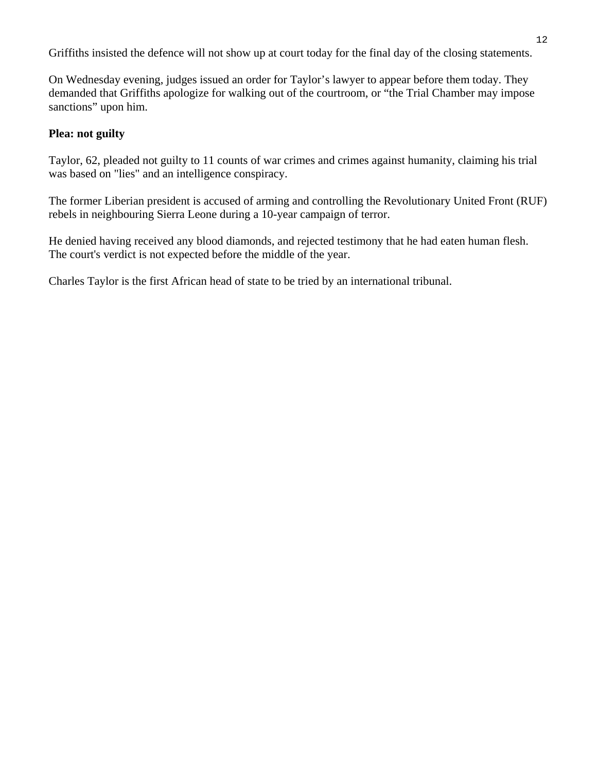Griffiths insisted the defence will not show up at court today for the final day of the closing statements.

On Wednesday evening, judges issued an order for Taylor's lawyer to appear before them today. They demanded that Griffiths apologize for walking out of the courtroom, or "the Trial Chamber may impose sanctions" upon him.

#### **Plea: not guilty**

Taylor, 62, pleaded not guilty to 11 counts of war crimes and crimes against humanity, claiming his trial was based on "lies" and an intelligence conspiracy.

The former Liberian president is accused of arming and controlling the Revolutionary United Front (RUF) rebels in neighbouring Sierra Leone during a 10-year campaign of terror.

He denied having received any blood diamonds, and rejected testimony that he had eaten human flesh. The court's verdict is not expected before the middle of the year.

Charles Taylor is the first African head of state to be tried by an international tribunal.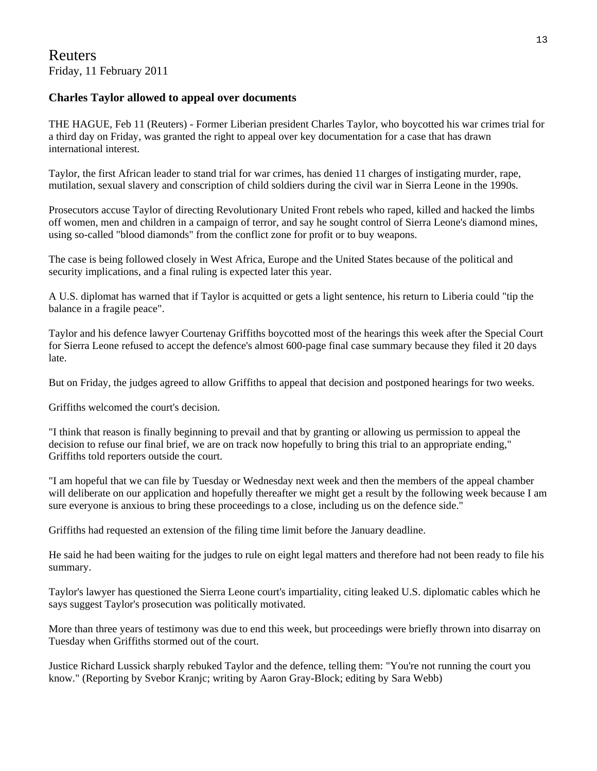#### **Charles Taylor allowed to appeal over documents**

THE HAGUE, Feb 11 (Reuters) - Former Liberian president Charles Taylor, who boycotted his war crimes trial for a third day on Friday, was granted the right to appeal over key documentation for a case that has drawn international interest.

Taylor, the first African leader to stand trial for war crimes, has denied 11 charges of instigating murder, rape, mutilation, sexual slavery and conscription of child soldiers during the civil war in Sierra Leone in the 1990s.

Prosecutors accuse Taylor of directing Revolutionary United Front rebels who raped, killed and hacked the limbs off women, men and children in a campaign of terror, and say he sought control of Sierra Leone's diamond mines, using so-called "blood diamonds" from the conflict zone for profit or to buy weapons.

The case is being followed closely in West Africa, Europe and the United States because of the political and security implications, and a final ruling is expected later this year.

A U.S. diplomat has warned that if Taylor is acquitted or gets a light sentence, his return to Liberia could "tip the balance in a fragile peace".

Taylor and his defence lawyer Courtenay Griffiths boycotted most of the hearings this week after the Special Court for Sierra Leone refused to accept the defence's almost 600-page final case summary because they filed it 20 days late.

But on Friday, the judges agreed to allow Griffiths to appeal that decision and postponed hearings for two weeks.

Griffiths welcomed the court's decision.

"I think that reason is finally beginning to prevail and that by granting or allowing us permission to appeal the decision to refuse our final brief, we are on track now hopefully to bring this trial to an appropriate ending," Griffiths told reporters outside the court.

"I am hopeful that we can file by Tuesday or Wednesday next week and then the members of the appeal chamber will deliberate on our application and hopefully thereafter we might get a result by the following week because I am sure everyone is anxious to bring these proceedings to a close, including us on the defence side."

Griffiths had requested an extension of the filing time limit before the January deadline.

He said he had been waiting for the judges to rule on eight legal matters and therefore had not been ready to file his summary.

Taylor's lawyer has questioned the Sierra Leone court's impartiality, citing leaked U.S. diplomatic cables which he says suggest Taylor's prosecution was politically motivated.

More than three years of testimony was due to end this week, but proceedings were briefly thrown into disarray on Tuesday when Griffiths stormed out of the court.

Justice Richard Lussick sharply rebuked Taylor and the defence, telling them: "You're not running the court you know." (Reporting by Svebor Kranjc; writing by Aaron Gray-Block; editing by Sara Webb)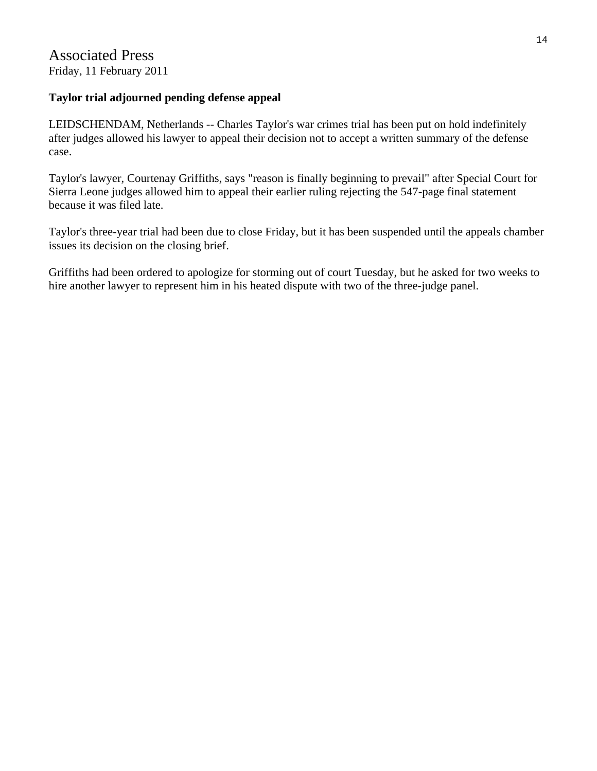#### **Taylor trial adjourned pending defense appeal**

LEIDSCHENDAM, Netherlands -- Charles Taylor's war crimes trial has been put on hold indefinitely after judges allowed his lawyer to appeal their decision not to accept a written summary of the defense case.

Taylor's lawyer, Courtenay Griffiths, says "reason is finally beginning to prevail" after Special Court for Sierra Leone judges allowed him to appeal their earlier ruling rejecting the 547-page final statement because it was filed late.

Taylor's three-year trial had been due to close Friday, but it has been suspended until the appeals chamber issues its decision on the closing brief.

Griffiths had been ordered to apologize for storming out of court Tuesday, but he asked for two weeks to hire another lawyer to represent him in his heated dispute with two of the three-judge panel.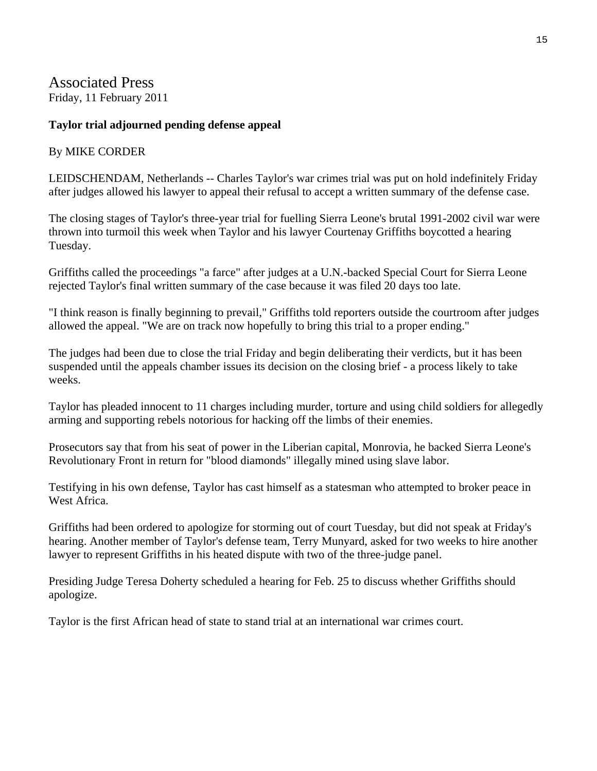Associated Press Friday, 11 February 2011

#### **Taylor trial adjourned pending defense appeal**

#### By MIKE CORDER

LEIDSCHENDAM, Netherlands -- Charles Taylor's war crimes trial was put on hold indefinitely Friday after judges allowed his lawyer to appeal their refusal to accept a written summary of the defense case.

The closing stages of Taylor's three-year trial for fuelling Sierra Leone's brutal 1991-2002 civil war were thrown into turmoil this week when Taylor and his lawyer Courtenay Griffiths boycotted a hearing Tuesday.

Griffiths called the proceedings "a farce" after judges at a U.N.-backed Special Court for Sierra Leone rejected Taylor's final written summary of the case because it was filed 20 days too late.

"I think reason is finally beginning to prevail," Griffiths told reporters outside the courtroom after judges allowed the appeal. "We are on track now hopefully to bring this trial to a proper ending."

The judges had been due to close the trial Friday and begin deliberating their verdicts, but it has been suspended until the appeals chamber issues its decision on the closing brief - a process likely to take weeks.

Taylor has pleaded innocent to 11 charges including murder, torture and using child soldiers for allegedly arming and supporting rebels notorious for hacking off the limbs of their enemies.

Prosecutors say that from his seat of power in the Liberian capital, Monrovia, he backed Sierra Leone's Revolutionary Front in return for "blood diamonds" illegally mined using slave labor.

Testifying in his own defense, Taylor has cast himself as a statesman who attempted to broker peace in West Africa.

Griffiths had been ordered to apologize for storming out of court Tuesday, but did not speak at Friday's hearing. Another member of Taylor's defense team, Terry Munyard, asked for two weeks to hire another lawyer to represent Griffiths in his heated dispute with two of the three-judge panel.

Presiding Judge Teresa Doherty scheduled a hearing for Feb. 25 to discuss whether Griffiths should apologize.

Taylor is the first African head of state to stand trial at an international war crimes court.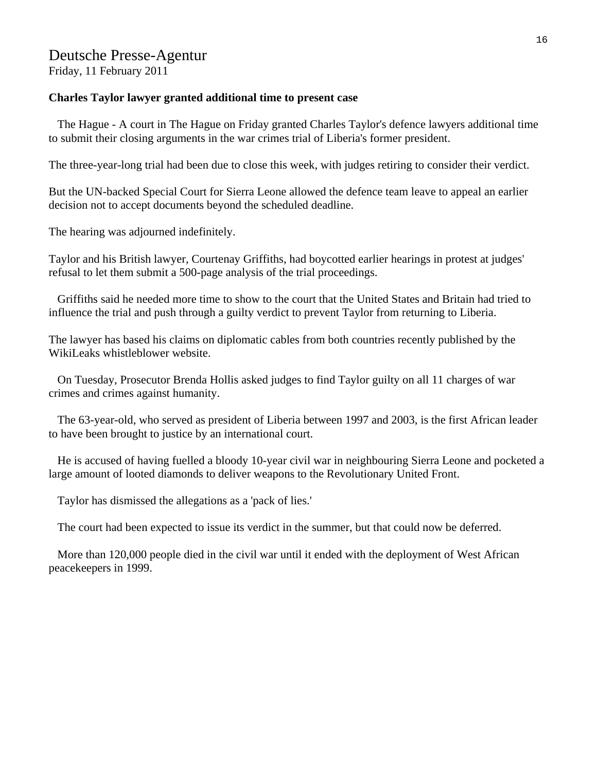# Deutsche Presse-Agentur

Friday, 11 February 2011

#### **Charles Taylor lawyer granted additional time to present case**

 The Hague - A court in The Hague on Friday granted Charles Taylor's defence lawyers additional time to submit their closing arguments in the war crimes trial of Liberia's former president.

The three-year-long trial had been due to close this week, with judges retiring to consider their verdict.

But the UN-backed Special Court for Sierra Leone allowed the defence team leave to appeal an earlier decision not to accept documents beyond the scheduled deadline.

The hearing was adjourned indefinitely.

Taylor and his British lawyer, Courtenay Griffiths, had boycotted earlier hearings in protest at judges' refusal to let them submit a 500-page analysis of the trial proceedings.

 Griffiths said he needed more time to show to the court that the United States and Britain had tried to influence the trial and push through a guilty verdict to prevent Taylor from returning to Liberia.

The lawyer has based his claims on diplomatic cables from both countries recently published by the WikiLeaks whistleblower website.

 On Tuesday, Prosecutor Brenda Hollis asked judges to find Taylor guilty on all 11 charges of war crimes and crimes against humanity.

 The 63-year-old, who served as president of Liberia between 1997 and 2003, is the first African leader to have been brought to justice by an international court.

 He is accused of having fuelled a bloody 10-year civil war in neighbouring Sierra Leone and pocketed a large amount of looted diamonds to deliver weapons to the Revolutionary United Front.

Taylor has dismissed the allegations as a 'pack of lies.'

The court had been expected to issue its verdict in the summer, but that could now be deferred.

 More than 120,000 people died in the civil war until it ended with the deployment of West African peacekeepers in 1999.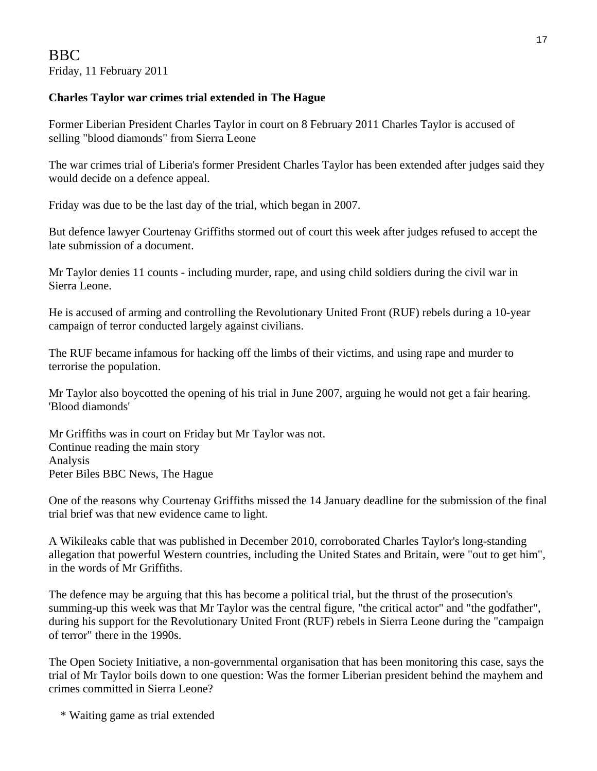### **Charles Taylor war crimes trial extended in The Hague**

Former Liberian President Charles Taylor in court on 8 February 2011 Charles Taylor is accused of selling "blood diamonds" from Sierra Leone

The war crimes trial of Liberia's former President Charles Taylor has been extended after judges said they would decide on a defence appeal.

Friday was due to be the last day of the trial, which began in 2007.

But defence lawyer Courtenay Griffiths stormed out of court this week after judges refused to accept the late submission of a document.

Mr Taylor denies 11 counts - including murder, rape, and using child soldiers during the civil war in Sierra Leone.

He is accused of arming and controlling the Revolutionary United Front (RUF) rebels during a 10-year campaign of terror conducted largely against civilians.

The RUF became infamous for hacking off the limbs of their victims, and using rape and murder to terrorise the population.

Mr Taylor also boycotted the opening of his trial in June 2007, arguing he would not get a fair hearing. 'Blood diamonds'

Mr Griffiths was in court on Friday but Mr Taylor was not. Continue reading the main story Analysis Peter Biles BBC News, The Hague

One of the reasons why Courtenay Griffiths missed the 14 January deadline for the submission of the final trial brief was that new evidence came to light.

A Wikileaks cable that was published in December 2010, corroborated Charles Taylor's long-standing allegation that powerful Western countries, including the United States and Britain, were "out to get him", in the words of Mr Griffiths.

The defence may be arguing that this has become a political trial, but the thrust of the prosecution's summing-up this week was that Mr Taylor was the central figure, "the critical actor" and "the godfather", during his support for the Revolutionary United Front (RUF) rebels in Sierra Leone during the "campaign of terror" there in the 1990s.

The Open Society Initiative, a non-governmental organisation that has been monitoring this case, says the trial of Mr Taylor boils down to one question: Was the former Liberian president behind the mayhem and crimes committed in Sierra Leone?

\* Waiting game as trial extended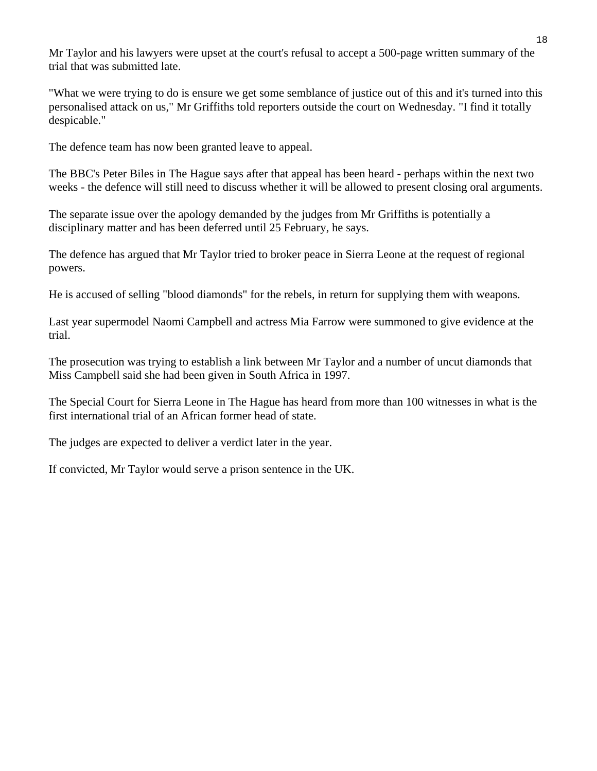Mr Taylor and his lawyers were upset at the court's refusal to accept a 500-page written summary of the trial that was submitted late.

"What we were trying to do is ensure we get some semblance of justice out of this and it's turned into this personalised attack on us," Mr Griffiths told reporters outside the court on Wednesday. "I find it totally despicable."

The defence team has now been granted leave to appeal.

The BBC's Peter Biles in The Hague says after that appeal has been heard - perhaps within the next two weeks - the defence will still need to discuss whether it will be allowed to present closing oral arguments.

The separate issue over the apology demanded by the judges from Mr Griffiths is potentially a disciplinary matter and has been deferred until 25 February, he says.

The defence has argued that Mr Taylor tried to broker peace in Sierra Leone at the request of regional powers.

He is accused of selling "blood diamonds" for the rebels, in return for supplying them with weapons.

Last year supermodel Naomi Campbell and actress Mia Farrow were summoned to give evidence at the trial.

The prosecution was trying to establish a link between Mr Taylor and a number of uncut diamonds that Miss Campbell said she had been given in South Africa in 1997.

The Special Court for Sierra Leone in The Hague has heard from more than 100 witnesses in what is the first international trial of an African former head of state.

The judges are expected to deliver a verdict later in the year.

If convicted, Mr Taylor would serve a prison sentence in the UK.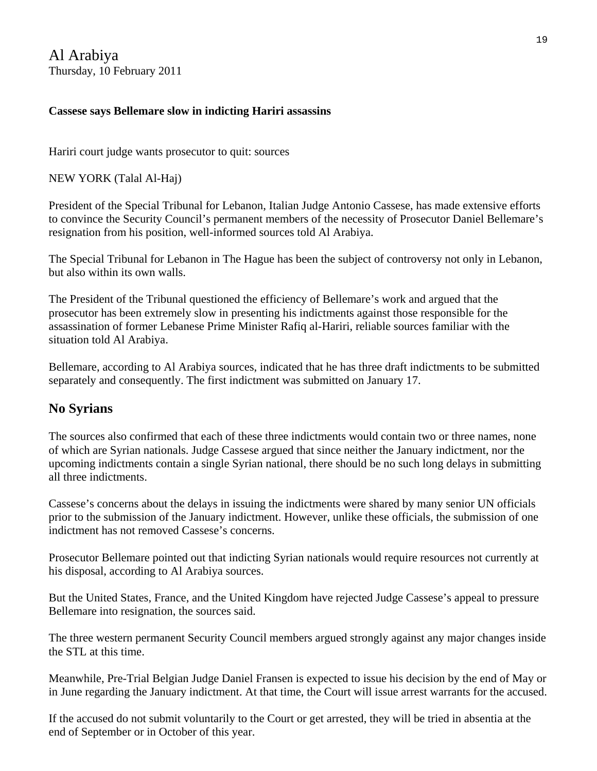Al Arabiya Thursday, 10 February 2011

### **Cassese says Bellemare slow in indicting Hariri assassins**

Hariri court judge wants prosecutor to quit: sources

NEW YORK (Talal Al-Haj)

President of the Special Tribunal for Lebanon, Italian Judge Antonio Cassese, has made extensive efforts to convince the Security Council's permanent members of the necessity of Prosecutor Daniel Bellemare's resignation from his position, well-informed sources told Al Arabiya.

The Special Tribunal for Lebanon in The Hague has been the subject of controversy not only in Lebanon, but also within its own walls.

The President of the Tribunal questioned the efficiency of Bellemare's work and argued that the prosecutor has been extremely slow in presenting his indictments against those responsible for the assassination of former Lebanese Prime Minister Rafiq al-Hariri, reliable sources familiar with the situation told Al Arabiya.

Bellemare, according to Al Arabiya sources, indicated that he has three draft indictments to be submitted separately and consequently. The first indictment was submitted on January 17.

# **No Syrians**

The sources also confirmed that each of these three indictments would contain two or three names, none of which are Syrian nationals. Judge Cassese argued that since neither the January indictment, nor the upcoming indictments contain a single Syrian national, there should be no such long delays in submitting all three indictments.

Cassese's concerns about the delays in issuing the indictments were shared by many senior UN officials prior to the submission of the January indictment. However, unlike these officials, the submission of one indictment has not removed Cassese's concerns.

Prosecutor Bellemare pointed out that indicting Syrian nationals would require resources not currently at his disposal, according to Al Arabiya sources.

But the United States, France, and the United Kingdom have rejected Judge Cassese's appeal to pressure Bellemare into resignation, the sources said.

The three western permanent Security Council members argued strongly against any major changes inside the STL at this time.

Meanwhile, Pre-Trial Belgian Judge Daniel Fransen is expected to issue his decision by the end of May or in June regarding the January indictment. At that time, the Court will issue arrest warrants for the accused.

If the accused do not submit voluntarily to the Court or get arrested, they will be tried in absentia at the end of September or in October of this year.